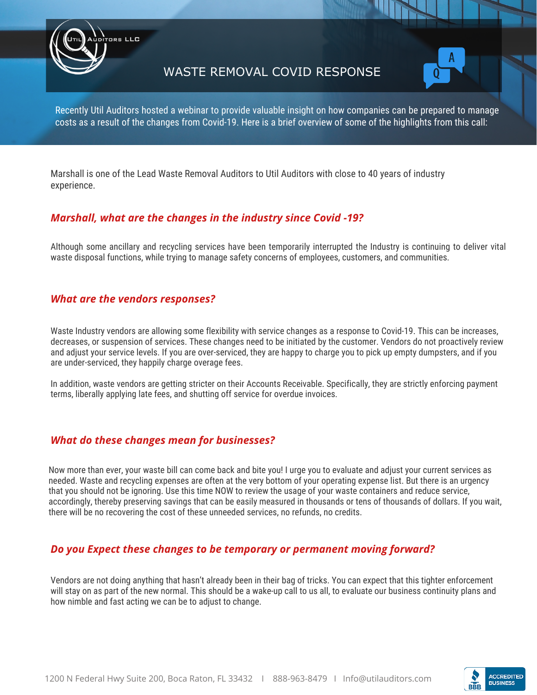

## WASTE REMOVAL COVID RESPONSE



Recently Util Auditors hosted a webinar to provide valuable insight on how companies can be prepared to manage costs as a result of the changes from Covid-19. Here is a brief overview of some of the highlights from this call:

Marshall is one of the Lead Waste Removal Auditors to Util Auditors with close to 40 years of industry experience.

## *Marshall, what are the changes in the industry since Covid -19?*

Although some ancillary and recycling services have been temporarily interrupted the Industry is continuing to deliver vital waste disposal functions, while trying to manage safety concerns of employees, customers, and communities.

## *What are the vendors responses?*

Waste Industry vendors are allowing some flexibility with service changes as a response to Covid-19. This can be increases, decreases, or suspension of services. These changes need to be initiated by the customer. Vendors do not proactively review and adjust your service levels. If you are over-serviced, they are happy to charge you to pick up empty dumpsters, and if you are under-serviced, they happily charge overage fees.

In addition, waste vendors are getting stricter on their Accounts Receivable. Specifically, they are strictly enforcing payment terms, liberally applying late fees, and shutting off service for overdue invoices.

## *What do these changes mean for businesses?*

Now more than ever, your waste bill can come back and bite you! I urge you to evaluate and adjust your current services as needed. Waste and recycling expenses are often at the very bottom of your operating expense list. But there is an urgency that you should not be ignoring. Use this time NOW to review the usage of your waste containers and reduce service, accordingly, thereby preserving savings that can be easily measured in thousands or tens of thousands of dollars. If you wait, there will be no recovering the cost of these unneeded services, no refunds, no credits.

## *Do you Expect these changes to be temporary or permanent moving forward?*

Vendors are not doing anything that hasn't already been in their bag of tricks. You can expect that this tighter enforcement will stay on as part of the new normal. This should be a wake-up call to us all, to evaluate our business continuity plans and how nimble and fast acting we can be to adjust to change.